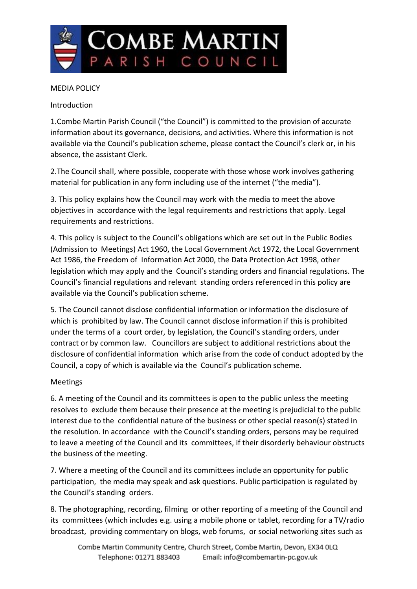

## MEDIA POLICY

Introduction

1.Combe Martin Parish Council ("the Council") is committed to the provision of accurate information about its governance, decisions, and activities. Where this information is not available via the Council's publication scheme, please contact the Council's clerk or, in his absence, the assistant Clerk.

2.The Council shall, where possible, cooperate with those whose work involves gathering material for publication in any form including use of the internet ("the media").

3. This policy explains how the Council may work with the media to meet the above objectives in accordance with the legal requirements and restrictions that apply. Legal requirements and restrictions.

4. This policy is subject to the Council's obligations which are set out in the Public Bodies (Admission to Meetings) Act 1960, the Local Government Act 1972, the Local Government Act 1986, the Freedom of Information Act 2000, the Data Protection Act 1998, other legislation which may apply and the Council's standing orders and financial regulations. The Council's financial regulations and relevant standing orders referenced in this policy are available via the Council's publication scheme.

5. The Council cannot disclose confidential information or information the disclosure of which is prohibited by law. The Council cannot disclose information if this is prohibited under the terms of a court order, by legislation, the Council's standing orders, under contract or by common law. Councillors are subject to additional restrictions about the disclosure of confidential information which arise from the code of conduct adopted by the Council, a copy of which is available via the Council's publication scheme.

## Meetings

6. A meeting of the Council and its committees is open to the public unless the meeting resolves to exclude them because their presence at the meeting is prejudicial to the public interest due to the confidential nature of the business or other special reason(s) stated in the resolution. In accordance with the Council's standing orders, persons may be required to leave a meeting of the Council and its committees, if their disorderly behaviour obstructs the business of the meeting.

7. Where a meeting of the Council and its committees include an opportunity for public participation, the media may speak and ask questions. Public participation is regulated by the Council's standing orders.

8. The photographing, recording, filming or other reporting of a meeting of the Council and its committees (which includes e.g. using a mobile phone or tablet, recording for a TV/radio broadcast, providing commentary on blogs, web forums, or social networking sites such as